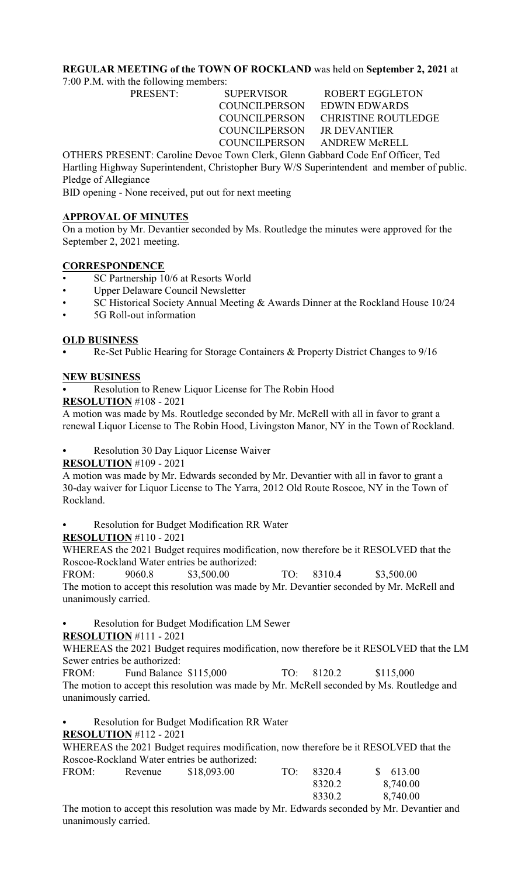# **REGULAR MEETING of the TOWN OF ROCKLAND** was held on **September 2, 2021** at

7:00 P.M. with the following members:

PRESENT: SUPERVISOR ROBERT EGGLETON COUNCILPERSON EDWIN EDWARDS COUNCILPERSON CHRISTINE ROUTLEDGE COUNCILPERSON JR DEVANTIER COUNCILPERSON ANDREW McRELL

OTHERS PRESENT: Caroline Devoe Town Clerk, Glenn Gabbard Code Enf Officer, Ted Hartling Highway Superintendent, Christopher Bury W/S Superintendent and member of public. Pledge of Allegiance

BID opening - None received, put out for next meeting

#### **APPROVAL OF MINUTES**

On a motion by Mr. Devantier seconded by Ms. Routledge the minutes were approved for the September 2, 2021 meeting.

# **CORRESPONDENCE**

- SC Partnership 10/6 at Resorts World
- Upper Delaware Council Newsletter
- SC Historical Society Annual Meeting & Awards Dinner at the Rockland House 10/24
- 5G Roll-out information

### **OLD BUSINESS**

Re-Set Public Hearing for Storage Containers & Property District Changes to 9/16

### **NEW BUSINESS**

Resolution to Renew Liquor License for The Robin Hood

#### **RESOLUTION** #108 - 2021

A motion was made by Ms. Routledge seconded by Mr. McRell with all in favor to grant a renewal Liquor License to The Robin Hood, Livingston Manor, NY in the Town of Rockland.

Resolution 30 Day Liquor License Waiver

#### **RESOLUTION** #109 - 2021

A motion was made by Mr. Edwards seconded by Mr. Devantier with all in favor to grant a 30-day waiver for Liquor License to The Yarra, 2012 Old Route Roscoe, NY in the Town of Rockland.

Resolution for Budget Modification RR Water

#### **RESOLUTION** #110 - 2021

WHEREAS the 2021 Budget requires modification, now therefore be it RESOLVED that the Roscoe-Rockland Water entries be authorized:

FROM: 9060.8 \$3,500.00 TO: 8310.4 \$3,500.00 The motion to accept this resolution was made by Mr. Devantier seconded by Mr. McRell and unanimously carried.

Resolution for Budget Modification LM Sewer

**RESOLUTION** #111 - 2021

WHEREAS the 2021 Budget requires modification, now therefore be it RESOLVED that the LM Sewer entries be authorized:

FROM: Fund Balance \$115,000 TO: 8120.2 \$115,000 The motion to accept this resolution was made by Mr. McRell seconded by Ms. Routledge and unanimously carried.

Resolution for Budget Modification RR Water

# **RESOLUTION** #112 - 2021

WHEREAS the 2021 Budget requires modification, now therefore be it RESOLVED that the Roscoe-Rockland Water entries be authorized:

| FROM: | Revenue | \$18,093.00 | TO: | 8320.4 | \$613.00 |
|-------|---------|-------------|-----|--------|----------|
|       |         |             |     | 8320.2 | 8,740.00 |
|       |         |             |     | 8330.2 | 8,740.00 |
|       |         |             |     |        |          |

The motion to accept this resolution was made by Mr. Edwards seconded by Mr. Devantier and unanimously carried.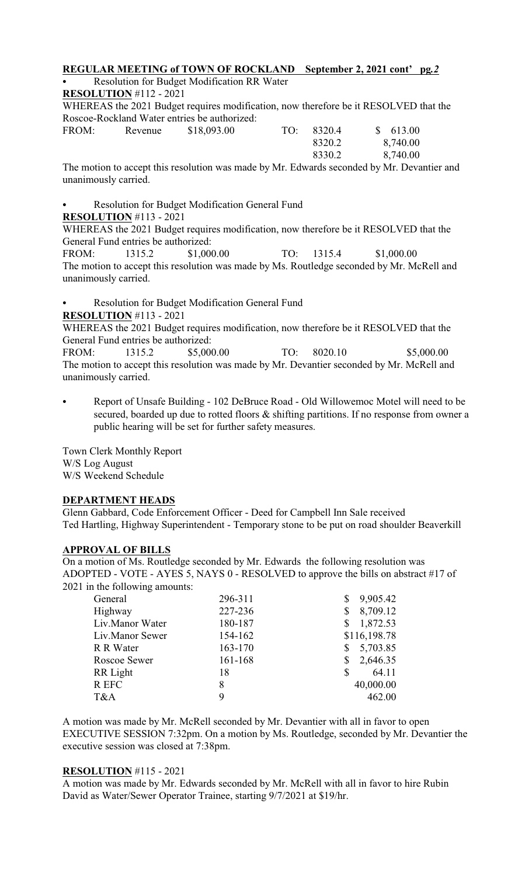#### **REGULAR MEETING of TOWN OF ROCKLAND September 2, 2021 cont' pg***.2*

Resolution for Budget Modification RR Water

# **RESOLUTION** #112 - 2021

WHEREAS the 2021 Budget requires modification, now therefore be it RESOLVED that the Roscoe-Rockland Water entries be authorized:<br>FROM: Revenue \$18,093.00

| FROM: | Revenue | \$18,093.00 | TO: | 8320.4 | \$613.00 |
|-------|---------|-------------|-----|--------|----------|
|       |         |             |     | 8320.2 | 8,740.00 |
|       |         |             |     | 8330.2 | 8,740.00 |

The motion to accept this resolution was made by Mr. Edwards seconded by Mr. Devantier and unanimously carried.

### Resolution for Budget Modification General Fund

#### **RESOLUTION** #113 - 2021

WHEREAS the 2021 Budget requires modification, now therefore be it RESOLVED that the General Fund entries be authorized:

FROM: 1315.2 \$1,000.00 TO: 1315.4 \$1,000.00 The motion to accept this resolution was made by Ms. Routledge seconded by Mr. McRell and unanimously carried.

Resolution for Budget Modification General Fund

**RESOLUTION** #113 - 2021

WHEREAS the 2021 Budget requires modification, now therefore be it RESOLVED that the General Fund entries be authorized:

FROM: 1315.2 \$5,000.00 TO: 8020.10 \$5,000.00 The motion to accept this resolution was made by Mr. Devantier seconded by Mr. McRell and unanimously carried.

Report of Unsafe Building - 102 DeBruce Road - Old Willowemoc Motel will need to be secured, boarded up due to rotted floors & shifting partitions. If no response from owner a public hearing will be set for further safety measures.

Town Clerk Monthly Report W/S Log August W/S Weekend Schedule

# **DEPARTMENT HEADS**

Glenn Gabbard, Code Enforcement Officer - Deed for Campbell Inn Sale received Ted Hartling, Highway Superintendent - Temporary stone to be put on road shoulder Beaverkill

# **APPROVAL OF BILLS**

On a motion of Ms. Routledge seconded by Mr. Edwards the following resolution was ADOPTED - VOTE - AYES 5, NAYS 0 - RESOLVED to approve the bills on abstract #17 of 2021 in the following amounts:

| General         | 296-311 | 9,905.42<br>S  |
|-----------------|---------|----------------|
| Highway         | 227-236 | 8,709.12<br>\$ |
| Liv.Manor Water | 180-187 | 1,872.53<br>\$ |
| Liv.Manor Sewer | 154-162 | \$116,198.78   |
| R R Water       | 163-170 | 5,703.85<br>\$ |
| Roscoe Sewer    | 161-168 | 2,646.35<br>\$ |
| RR Light        | 18      | \$<br>64.11    |
| R EFC           | 8       | 40,000.00      |
| T&A             | 9       | 462.00         |
|                 |         |                |

A motion was made by Mr. McRell seconded by Mr. Devantier with all in favor to open EXECUTIVE SESSION 7:32pm. On a motion by Ms. Routledge, seconded by Mr. Devantier the executive session was closed at 7:38pm.

#### **RESOLUTION** #115 - 2021

A motion was made by Mr. Edwards seconded by Mr. McRell with all in favor to hire Rubin David as Water/Sewer Operator Trainee, starting 9/7/2021 at \$19/hr.